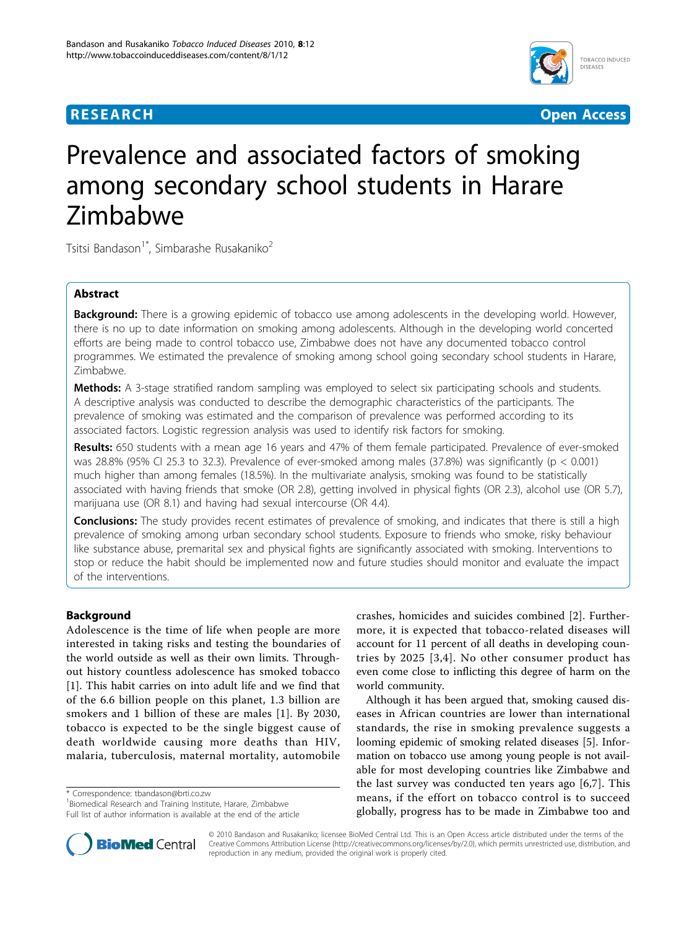

**RESEARCH CONSTRUCTION CONSTRUCTS** 

# Prevalence and associated factors of smoking among secondary school students in Harare Zimbabwe

Tsitsi Bandason<sup>1\*</sup>, Simbarashe Rusakaniko<sup>2</sup>

## Abstract

**Background:** There is a growing epidemic of tobacco use among adolescents in the developing world. However, there is no up to date information on smoking among adolescents. Although in the developing world concerted efforts are being made to control tobacco use, Zimbabwe does not have any documented tobacco control programmes. We estimated the prevalence of smoking among school going secondary school students in Harare, Zimbabwe.

**Methods:** A 3-stage stratified random sampling was employed to select six participating schools and students. A descriptive analysis was conducted to describe the demographic characteristics of the participants. The prevalence of smoking was estimated and the comparison of prevalence was performed according to its associated factors. Logistic regression analysis was used to identify risk factors for smoking.

Results: 650 students with a mean age 16 years and 47% of them female participated. Prevalence of ever-smoked was 28.8% (95% CI 25.3 to 32.3). Prevalence of ever-smoked among males (37.8%) was significantly (p < 0.001) much higher than among females (18.5%). In the multivariate analysis, smoking was found to be statistically associated with having friends that smoke (OR 2.8), getting involved in physical fights (OR 2.3), alcohol use (OR 5.7), marijuana use (OR 8.1) and having had sexual intercourse (OR 4.4).

**Conclusions:** The study provides recent estimates of prevalence of smoking, and indicates that there is still a high prevalence of smoking among urban secondary school students. Exposure to friends who smoke, risky behaviour like substance abuse, premarital sex and physical fights are significantly associated with smoking. Interventions to stop or reduce the habit should be implemented now and future studies should monitor and evaluate the impact of the interventions.

## Background

Adolescence is the time of life when people are more interested in taking risks and testing the boundaries of the world outside as well as their own limits. Throughout history countless adolescence has smoked tobacco [[1\]](#page-7-0). This habit carries on into adult life and we find that of the 6.6 billion people on this planet, 1.3 billion are smokers and 1 billion of these are males [\[1\]](#page-7-0). By 2030, tobacco is expected to be the single biggest cause of death worldwide causing more deaths than HIV, malaria, tuberculosis, maternal mortality, automobile

\* Correspondence: [tbandason@brti.co.zw](mailto:tbandason@brti.co.zw)

<sup>1</sup> Biomedical Research and Training Institute, Harare, Zimbabwe Full list of author information is available at the end of the article



Although it has been argued that, smoking caused diseases in African countries are lower than international standards, the rise in smoking prevalence suggests a looming epidemic of smoking related diseases [\[5\]](#page-7-0). Information on tobacco use among young people is not available for most developing countries like Zimbabwe and the last survey was conducted ten years ago [[6,7](#page-7-0)]. This means, if the effort on tobacco control is to succeed globally, progress has to be made in Zimbabwe too and



© 2010 Bandason and Rusakaniko; licensee BioMed Central Ltd. This is an Open Access article distributed under the terms of the Creative Commons Attribution License (<http://creativecommons.org/licenses/by/2.0>), which permits unrestricted use, distribution, and reproduction in any medium, provided the original work is properly cited.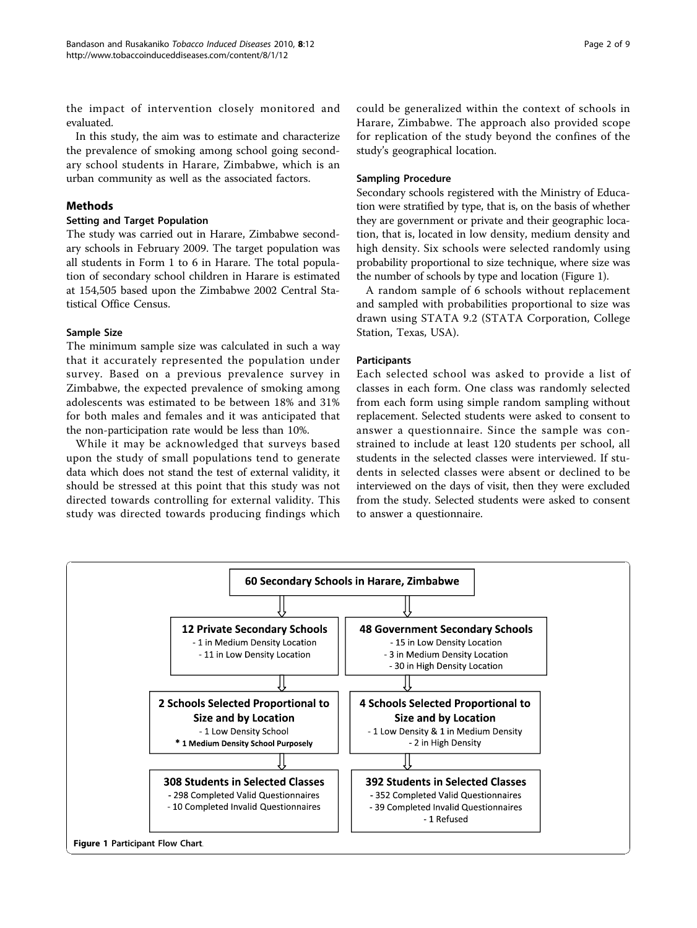the impact of intervention closely monitored and evaluated.

In this study, the aim was to estimate and characterize the prevalence of smoking among school going secondary school students in Harare, Zimbabwe, which is an urban community as well as the associated factors.

## Methods

## Setting and Target Population

The study was carried out in Harare, Zimbabwe secondary schools in February 2009. The target population was all students in Form 1 to 6 in Harare. The total population of secondary school children in Harare is estimated at 154,505 based upon the Zimbabwe 2002 Central Statistical Office Census.

## Sample Size

The minimum sample size was calculated in such a way that it accurately represented the population under survey. Based on a previous prevalence survey in Zimbabwe, the expected prevalence of smoking among adolescents was estimated to be between 18% and 31% for both males and females and it was anticipated that the non-participation rate would be less than 10%.

While it may be acknowledged that surveys based upon the study of small populations tend to generate data which does not stand the test of external validity, it should be stressed at this point that this study was not directed towards controlling for external validity. This study was directed towards producing findings which Page 2 of 9

could be generalized within the context of schools in Harare, Zimbabwe. The approach also provided scope for replication of the study beyond the confines of the study's geographical location.

## Sampling Procedure

Secondary schools registered with the Ministry of Education were stratified by type, that is, on the basis of whether they are government or private and their geographic location, that is, located in low density, medium density and high density. Six schools were selected randomly using probability proportional to size technique, where size was the number of schools by type and location (Figure 1).

A random sample of 6 schools without replacement and sampled with probabilities proportional to size was drawn using STATA 9.2 (STATA Corporation, College Station, Texas, USA).

## Participants

Each selected school was asked to provide a list of classes in each form. One class was randomly selected from each form using simple random sampling without replacement. Selected students were asked to consent to answer a questionnaire. Since the sample was constrained to include at least 120 students per school, all students in the selected classes were interviewed. If students in selected classes were absent or declined to be interviewed on the days of visit, then they were excluded from the study. Selected students were asked to consent to answer a questionnaire.

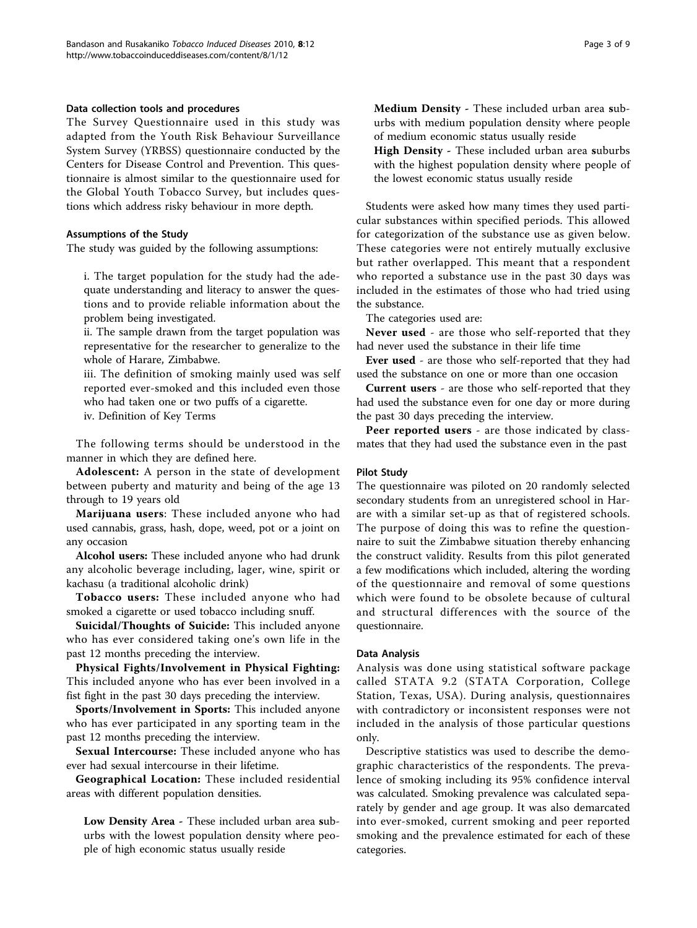## Data collection tools and procedures

The Survey Questionnaire used in this study was adapted from the Youth Risk Behaviour Surveillance System Survey (YRBSS) questionnaire conducted by the Centers for Disease Control and Prevention. This questionnaire is almost similar to the questionnaire used for the Global Youth Tobacco Survey, but includes questions which address risky behaviour in more depth.

## Assumptions of the Study

The study was guided by the following assumptions:

i. The target population for the study had the adequate understanding and literacy to answer the questions and to provide reliable information about the problem being investigated.

ii. The sample drawn from the target population was representative for the researcher to generalize to the whole of Harare, Zimbabwe.

iii. The definition of smoking mainly used was self reported ever-smoked and this included even those who had taken one or two puffs of a cigarette.

iv. Definition of Key Terms

The following terms should be understood in the manner in which they are defined here.

Adolescent: A person in the state of development between puberty and maturity and being of the age 13 through to 19 years old

Marijuana users: These included anyone who had used cannabis, grass, hash, dope, weed, pot or a joint on any occasion

Alcohol users: These included anyone who had drunk any alcoholic beverage including, lager, wine, spirit or kachasu (a traditional alcoholic drink)

Tobacco users: These included anyone who had smoked a cigarette or used tobacco including snuff.

Suicidal/Thoughts of Suicide: This included anyone who has ever considered taking one's own life in the past 12 months preceding the interview.

Physical Fights/Involvement in Physical Fighting: This included anyone who has ever been involved in a fist fight in the past 30 days preceding the interview.

Sports/Involvement in Sports: This included anyone who has ever participated in any sporting team in the past 12 months preceding the interview.

Sexual Intercourse: These included anyone who has ever had sexual intercourse in their lifetime.

Geographical Location: These included residential areas with different population densities.

Low Density Area - These included urban area suburbs with the lowest population density where people of high economic status usually reside

Medium Density - These included urban area suburbs with medium population density where people of medium economic status usually reside

High Density - These included urban area suburbs with the highest population density where people of the lowest economic status usually reside

Students were asked how many times they used particular substances within specified periods. This allowed for categorization of the substance use as given below. These categories were not entirely mutually exclusive but rather overlapped. This meant that a respondent who reported a substance use in the past 30 days was included in the estimates of those who had tried using the substance.

The categories used are:

Never used - are those who self-reported that they had never used the substance in their life time

Ever used - are those who self-reported that they had used the substance on one or more than one occasion

Current users - are those who self-reported that they had used the substance even for one day or more during the past 30 days preceding the interview.

Peer reported users - are those indicated by classmates that they had used the substance even in the past

## Pilot Study

The questionnaire was piloted on 20 randomly selected secondary students from an unregistered school in Harare with a similar set-up as that of registered schools. The purpose of doing this was to refine the questionnaire to suit the Zimbabwe situation thereby enhancing the construct validity. Results from this pilot generated a few modifications which included, altering the wording of the questionnaire and removal of some questions which were found to be obsolete because of cultural and structural differences with the source of the questionnaire.

#### Data Analysis

Analysis was done using statistical software package called STATA 9.2 (STATA Corporation, College Station, Texas, USA). During analysis, questionnaires with contradictory or inconsistent responses were not included in the analysis of those particular questions only.

Descriptive statistics was used to describe the demographic characteristics of the respondents. The prevalence of smoking including its 95% confidence interval was calculated. Smoking prevalence was calculated separately by gender and age group. It was also demarcated into ever-smoked, current smoking and peer reported smoking and the prevalence estimated for each of these categories.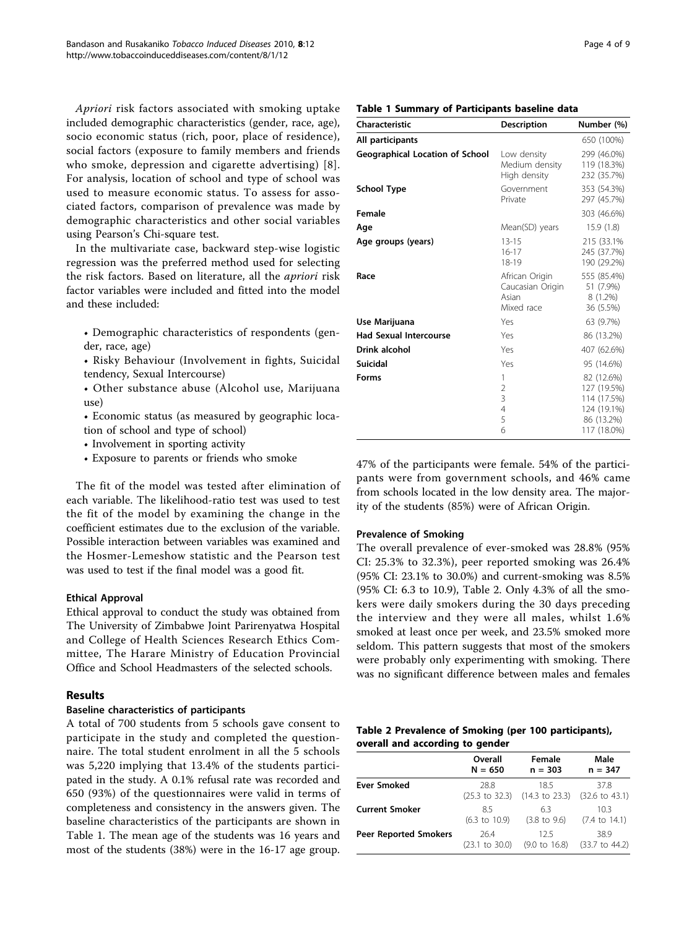Apriori risk factors associated with smoking uptake included demographic characteristics (gender, race, age), socio economic status (rich, poor, place of residence), social factors (exposure to family members and friends who smoke, depression and cigarette advertising) [[8\]](#page-7-0). For analysis, location of school and type of school was used to measure economic status. To assess for associated factors, comparison of prevalence was made by demographic characteristics and other social variables using Pearson's Chi-square test.

In the multivariate case, backward step-wise logistic regression was the preferred method used for selecting the risk factors. Based on literature, all the apriori risk factor variables were included and fitted into the model and these included:

• Demographic characteristics of respondents (gender, race, age)

• Risky Behaviour (Involvement in fights, Suicidal tendency, Sexual Intercourse)

• Other substance abuse (Alcohol use, Marijuana use)

• Economic status (as measured by geographic location of school and type of school)

• Involvement in sporting activity

• Exposure to parents or friends who smoke

The fit of the model was tested after elimination of each variable. The likelihood-ratio test was used to test the fit of the model by examining the change in the coefficient estimates due to the exclusion of the variable. Possible interaction between variables was examined and the Hosmer-Lemeshow statistic and the Pearson test was used to test if the final model was a good fit.

## Ethical Approval

Ethical approval to conduct the study was obtained from The University of Zimbabwe Joint Parirenyatwa Hospital and College of Health Sciences Research Ethics Committee, The Harare Ministry of Education Provincial Office and School Headmasters of the selected schools.

## Results

## Baseline characteristics of participants

A total of 700 students from 5 schools gave consent to participate in the study and completed the questionnaire. The total student enrolment in all the 5 schools was 5,220 implying that 13.4% of the students participated in the study. A 0.1% refusal rate was recorded and 650 (93%) of the questionnaires were valid in terms of completeness and consistency in the answers given. The baseline characteristics of the participants are shown in Table 1. The mean age of the students was 16 years and most of the students (38%) were in the 16-17 age group.

| Page 4 of 9 |  |  |  |
|-------------|--|--|--|
|-------------|--|--|--|

## Table 1 Summary of Participants baseline data

| Characteristic                         | <b>Description</b>                                        | Number (%)                                                                           |
|----------------------------------------|-----------------------------------------------------------|--------------------------------------------------------------------------------------|
| All participants                       |                                                           | 650 (100%)                                                                           |
| <b>Geographical Location of School</b> | Low density<br>Medium density<br>High density             | 299 (46.0%)<br>119 (18.3%)<br>232 (35.7%)                                            |
| <b>School Type</b>                     | Government<br>Private                                     | 353 (54.3%)<br>297 (45.7%)                                                           |
| Female                                 |                                                           | 303 (46.6%)                                                                          |
| Age                                    | Mean(SD) years                                            | 15.9(1.8)                                                                            |
| Age groups (years)                     | $13 - 15$<br>$16 - 17$<br>$18 - 19$                       | 215 (33.1%)<br>245 (37.7%)<br>190 (29.2%)                                            |
| Race                                   | African Origin<br>Caucasian Origin<br>Asian<br>Mixed race | 555 (85.4%)<br>51 (7.9%)<br>$8(1.2\%)$<br>36 (5.5%)                                  |
| Use Marijuana                          | Yes                                                       | 63 (9.7%)                                                                            |
| Had Sexual Intercourse                 | Yes                                                       | 86 (13.2%)                                                                           |
| <b>Drink alcohol</b>                   | Yes                                                       | 407 (62.6%)                                                                          |
| Suicidal                               | Yes                                                       | 95 (14.6%)                                                                           |
| Forms                                  | 1<br>$\overline{2}$<br>3<br>$\overline{4}$<br>5<br>6      | 82 (12.6%)<br>127 (19.5%)<br>114 (17.5%)<br>124 (19.1%)<br>86 (13.2%)<br>117 (18.0%) |

47% of the participants were female. 54% of the participants were from government schools, and 46% came from schools located in the low density area. The majority of the students (85%) were of African Origin.

#### Prevalence of Smoking

The overall prevalence of ever-smoked was 28.8% (95% CI: 25.3% to 32.3%), peer reported smoking was 26.4% (95% CI: 23.1% to 30.0%) and current-smoking was 8.5% (95% CI: 6.3 to 10.9), Table 2. Only 4.3% of all the smokers were daily smokers during the 30 days preceding the interview and they were all males, whilst 1.6% smoked at least once per week, and 23.5% smoked more seldom. This pattern suggests that most of the smokers were probably only experimenting with smoking. There was no significant difference between males and females

| Table 2 Prevalence of Smoking (per 100 participants), |  |  |
|-------------------------------------------------------|--|--|
| overall and according to gender                       |  |  |

|                              | Overall                   | Female                    | Male                      |
|------------------------------|---------------------------|---------------------------|---------------------------|
|                              | $N = 650$                 | $n = 303$                 | $n = 347$                 |
| Ever Smoked                  | 28.8                      | 18.5                      | 37.8                      |
|                              | $(25.3 \text{ to } 32.3)$ | $(14.3 \text{ to } 23.3)$ | $(32.6 \text{ to } 43.1)$ |
| <b>Current Smoker</b>        | 85                        | 6.3                       | 10.3                      |
|                              | $(6.3 \text{ to } 10.9)$  | $(3.8 \text{ to } 9.6)$   | $(7.4 \text{ to } 14.1)$  |
| <b>Peer Reported Smokers</b> | 26.4                      | 125                       | 38.9                      |
|                              | $(23.1 \text{ to } 30.0)$ | $(9.0 \text{ to } 16.8)$  | $(33.7 \text{ to } 44.2)$ |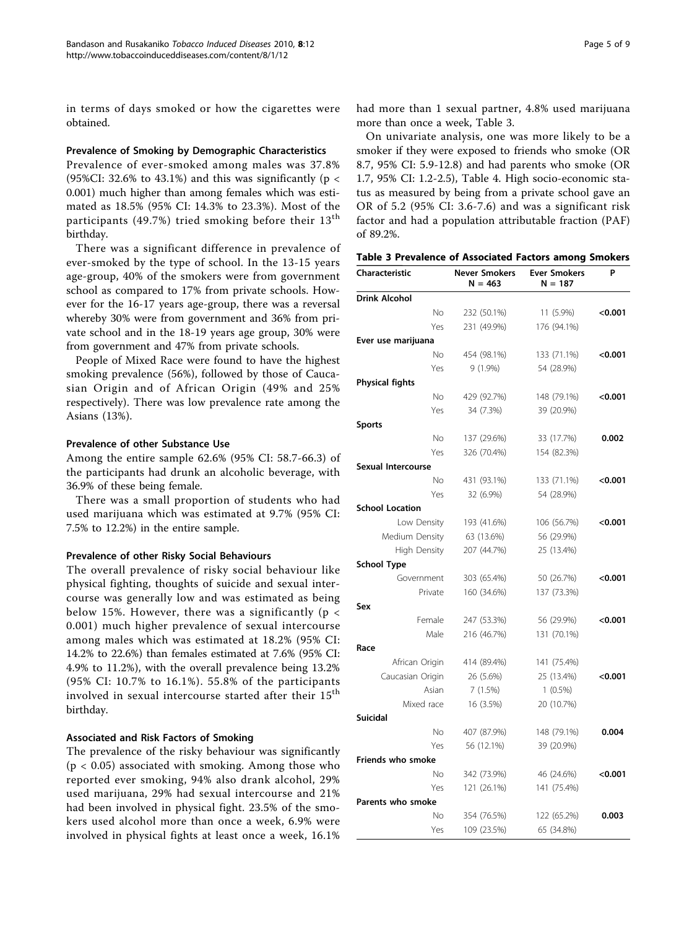in terms of days smoked or how the cigarettes were obtained.

### Prevalence of Smoking by Demographic Characteristics

Prevalence of ever-smoked among males was 37.8% (95%CI: 32.6% to 43.1%) and this was significantly ( $p <$ 0.001) much higher than among females which was estimated as 18.5% (95% CI: 14.3% to 23.3%). Most of the participants (49.7%) tried smoking before their 13<sup>th</sup> birthday.

There was a significant difference in prevalence of ever-smoked by the type of school. In the 13-15 years age-group, 40% of the smokers were from government school as compared to 17% from private schools. However for the 16-17 years age-group, there was a reversal whereby 30% were from government and 36% from private school and in the 18-19 years age group, 30% were from government and 47% from private schools.

People of Mixed Race were found to have the highest smoking prevalence (56%), followed by those of Caucasian Origin and of African Origin (49% and 25% respectively). There was low prevalence rate among the Asians (13%).

## Prevalence of other Substance Use

Among the entire sample 62.6% (95% CI: 58.7-66.3) of the participants had drunk an alcoholic beverage, with 36.9% of these being female.

There was a small proportion of students who had used marijuana which was estimated at 9.7% (95% CI: 7.5% to 12.2%) in the entire sample.

## Prevalence of other Risky Social Behaviours

The overall prevalence of risky social behaviour like physical fighting, thoughts of suicide and sexual intercourse was generally low and was estimated as being below 15%. However, there was a significantly ( $p <$ 0.001) much higher prevalence of sexual intercourse among males which was estimated at 18.2% (95% CI: 14.2% to 22.6%) than females estimated at 7.6% (95% CI: 4.9% to 11.2%), with the overall prevalence being 13.2% (95% CI: 10.7% to 16.1%). 55.8% of the participants involved in sexual intercourse started after their 15<sup>th</sup> birthday.

## Associated and Risk Factors of Smoking

The prevalence of the risky behaviour was significantly  $(p < 0.05)$  associated with smoking. Among those who reported ever smoking, 94% also drank alcohol, 29% used marijuana, 29% had sexual intercourse and 21% had been involved in physical fight. 23.5% of the smokers used alcohol more than once a week, 6.9% were involved in physical fights at least once a week, 16.1% had more than 1 sexual partner, 4.8% used marijuana more than once a week, Table 3.

On univariate analysis, one was more likely to be a smoker if they were exposed to friends who smoke (OR 8.7, 95% CI: 5.9-12.8) and had parents who smoke (OR 1.7, 95% CI: 1.2-2.5), Table [4](#page-5-0). High socio-economic status as measured by being from a private school gave an OR of 5.2 (95% CI: 3.6-7.6) and was a significant risk factor and had a population attributable fraction (PAF) of 89.2%.

|  |  |  |  |  | Table 3 Prevalence of Associated Factors among Smokers |  |  |  |
|--|--|--|--|--|--------------------------------------------------------|--|--|--|
|--|--|--|--|--|--------------------------------------------------------|--|--|--|

| <b>Characteristic</b>     | <b>Never Smokers</b><br>$N = 463$ | <b>Ever Smokers</b><br>$N = 187$ | P       |
|---------------------------|-----------------------------------|----------------------------------|---------|
| <b>Drink Alcohol</b>      |                                   |                                  |         |
| No                        | 232 (50.1%)                       | 11 (5.9%)                        | < 0.001 |
| Yes                       | 231 (49.9%)                       | 176 (94.1%)                      |         |
| Ever use marijuana        |                                   |                                  |         |
| No                        | 454 (98.1%)                       | 133 (71.1%)                      | < 0.001 |
| Yes                       | 9 (1.9%)                          | 54 (28.9%)                       |         |
| <b>Physical fights</b>    |                                   |                                  |         |
| No                        | 429 (92.7%)                       | 148 (79.1%)                      | < 0.001 |
| Yes                       | 34 (7.3%)                         | 39 (20.9%)                       |         |
| <b>Sports</b>             |                                   |                                  |         |
| No                        | 137 (29.6%)                       | 33 (17.7%)                       | 0.002   |
| Yes                       | 326 (70.4%)                       | 154 (82.3%)                      |         |
| <b>Sexual Intercourse</b> |                                   |                                  |         |
| No                        | 431 (93.1%)                       | 133 (71.1%)                      | < 0.001 |
| Yes                       | 32 (6.9%)                         | 54 (28.9%)                       |         |
| <b>School Location</b>    |                                   |                                  |         |
| Low Density               | 193 (41.6%)                       | 106 (56.7%)                      | < 0.001 |
| Medium Density            | 63 (13.6%)                        | 56 (29.9%)                       |         |
| <b>High Density</b>       | 207 (44.7%)                       | 25 (13.4%)                       |         |
| <b>School Type</b>        |                                   |                                  |         |
| Government                | 303 (65.4%)                       | 50 (26.7%)                       | < 0.001 |
| Private                   | 160 (34.6%)                       | 137 (73.3%)                      |         |
| Sex                       |                                   |                                  |         |
| Female                    | 247 (53.3%)                       | 56 (29.9%)                       | < 0.001 |
| Male                      | 216 (46.7%)                       | 131 (70.1%)                      |         |
| Race                      |                                   |                                  |         |
| African Origin            | 414 (89.4%)                       | 141 (75.4%)                      |         |
| Caucasian Origin          | 26 (5.6%)                         | 25 (13.4%)                       | < 0.001 |
| Asian                     | 7(1.5%)                           | $1(0.5\%)$                       |         |
| Mixed race                | 16 (3.5%)                         | 20 (10.7%)                       |         |
| Suicidal                  |                                   |                                  |         |
| No                        | 407 (87.9%)                       | 148 (79.1%)                      | 0.004   |
| Yes                       | 56 (12.1%)                        | 39 (20.9%)                       |         |
| Friends who smoke         |                                   |                                  |         |
| No                        | 342 (73.9%)                       | 46 (24.6%)                       | < 0.001 |
| Yes                       | 121 (26.1%)                       | 141 (75.4%)                      |         |
| Parents who smoke         |                                   |                                  |         |
| No                        | 354 (76.5%)                       | 122 (65.2%)                      | 0.003   |
| Yes                       | 109 (23.5%)                       | 65 (34.8%)                       |         |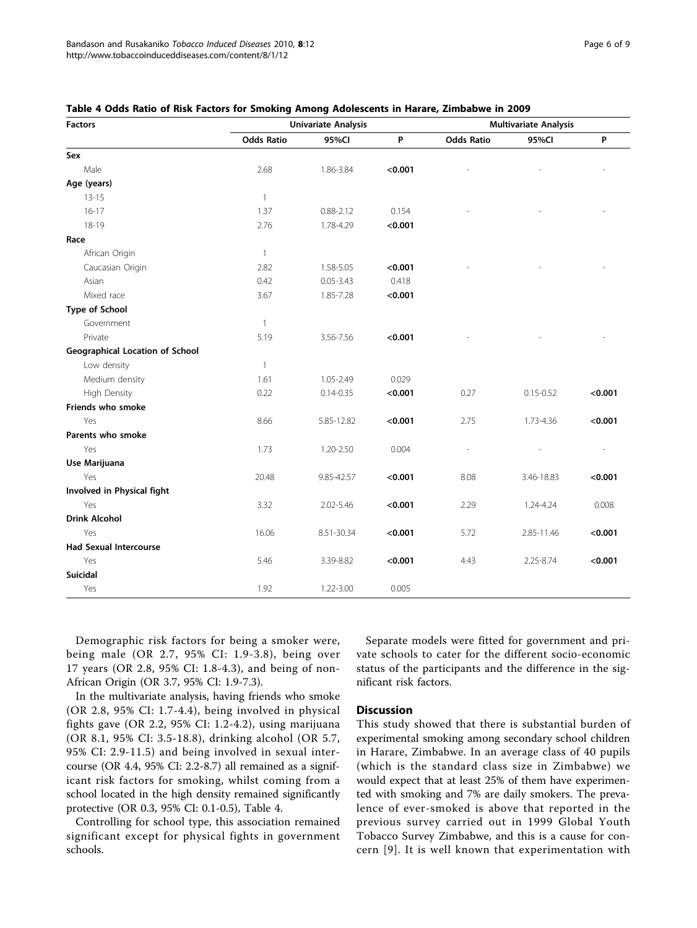| <b>Factors</b>                         |                   | <b>Univariate Analysis</b> | <b>Multivariate Analysis</b> |                   |               |         |
|----------------------------------------|-------------------|----------------------------|------------------------------|-------------------|---------------|---------|
|                                        | <b>Odds Ratio</b> | 95%CI                      | P                            | <b>Odds Ratio</b> | 95%CI         | P       |
| Sex                                    |                   |                            |                              |                   |               |         |
| Male                                   | 2.68              | 1.86-3.84                  | < 0.001                      |                   |               |         |
| Age (years)                            |                   |                            |                              |                   |               |         |
| $13 - 15$                              | $\mathbf{1}$      |                            |                              |                   |               |         |
| $16 - 17$                              | 1.37              | $0.88 - 2.12$              | 0.154                        |                   |               |         |
| 18-19                                  | 2.76              | 1.78-4.29                  | < 0.001                      |                   |               |         |
| Race                                   |                   |                            |                              |                   |               |         |
| African Origin                         | $\mathbf{1}$      |                            |                              |                   |               |         |
| Caucasian Origin                       | 2.82              | 1.58-5.05                  | < 0.001                      |                   |               |         |
| Asian                                  | 0.42              | $0.05 - 3.43$              | 0.418                        |                   |               |         |
| Mixed race                             | 3.67              | 1.85-7.28                  | < 0.001                      |                   |               |         |
| Type of School                         |                   |                            |                              |                   |               |         |
| Government                             | 1                 |                            |                              |                   |               |         |
| Private                                | 5.19              | 3.56-7.56                  | < 0.001                      |                   |               |         |
| <b>Geographical Location of School</b> |                   |                            |                              |                   |               |         |
| Low density                            | $\mathbf{1}$      |                            |                              |                   |               |         |
| Medium density                         | 1.61              | 1.05-2.49                  | 0.029                        |                   |               |         |
| <b>High Density</b>                    | 0.22              | $0.14 - 0.35$              | < 0.001                      | 0.27              | $0.15 - 0.52$ | < 0.001 |
| Friends who smoke                      |                   |                            |                              |                   |               |         |
| Yes                                    | 8.66              | 5.85-12.82                 | < 0.001                      | 2.75              | 1.73-4.36     | < 0.001 |
| Parents who smoke                      |                   |                            |                              |                   |               |         |
| Yes                                    | 1.73              | 1.20-2.50                  | 0.004                        |                   |               |         |
| Use Marijuana                          |                   |                            |                              |                   |               |         |
| Yes                                    | 20.48             | 9.85-42.57                 | < 0.001                      | 8.08              | 3.46-18.83    | < 0.001 |
| Involved in Physical fight             |                   |                            |                              |                   |               |         |
| Yes                                    | 3.32              | 2.02-5.46                  | < 0.001                      | 2.29              | 1.24-4.24     | 0.008   |
| <b>Drink Alcohol</b>                   |                   |                            |                              |                   |               |         |
| Yes                                    | 16.06             | 8.51-30.34                 | < 0.001                      | 5.72              | 2.85-11.46    | < 0.001 |
| <b>Had Sexual Intercourse</b>          |                   |                            |                              |                   |               |         |
| Yes                                    | 5.46              | 3.39-8.82                  | < 0.001                      | 4.43              | 2.25-8.74     | < 0.001 |
| <b>Suicidal</b>                        |                   |                            |                              |                   |               |         |
| Yes                                    | 1.92              | 1.22-3.00                  | 0.005                        |                   |               |         |

<span id="page-5-0"></span>

Demographic risk factors for being a smoker were, being male (OR 2.7, 95% CI: 1.9-3.8), being over 17 years (OR 2.8, 95% CI: 1.8-4.3), and being of non-African Origin (OR 3.7, 95% CI: 1.9-7.3).

In the multivariate analysis, having friends who smoke (OR 2.8, 95% CI: 1.7-4.4), being involved in physical fights gave (OR 2.2, 95% CI: 1.2-4.2), using marijuana (OR 8.1, 95% CI: 3.5-18.8), drinking alcohol (OR 5.7, 95% CI: 2.9-11.5) and being involved in sexual intercourse (OR 4.4, 95% CI: 2.2-8.7) all remained as a significant risk factors for smoking, whilst coming from a school located in the high density remained significantly protective (OR 0.3, 95% CI: 0.1-0.5), Table 4.

Controlling for school type, this association remained significant except for physical fights in government schools.

Separate models were fitted for government and private schools to cater for the different socio-economic status of the participants and the difference in the significant risk factors.

## Discussion

This study showed that there is substantial burden of experimental smoking among secondary school children in Harare, Zimbabwe. In an average class of 40 pupils (which is the standard class size in Zimbabwe) we would expect that at least 25% of them have experimented with smoking and 7% are daily smokers. The prevalence of ever-smoked is above that reported in the previous survey carried out in 1999 Global Youth Tobacco Survey Zimbabwe, and this is a cause for concern [[9\]](#page-7-0). It is well known that experimentation with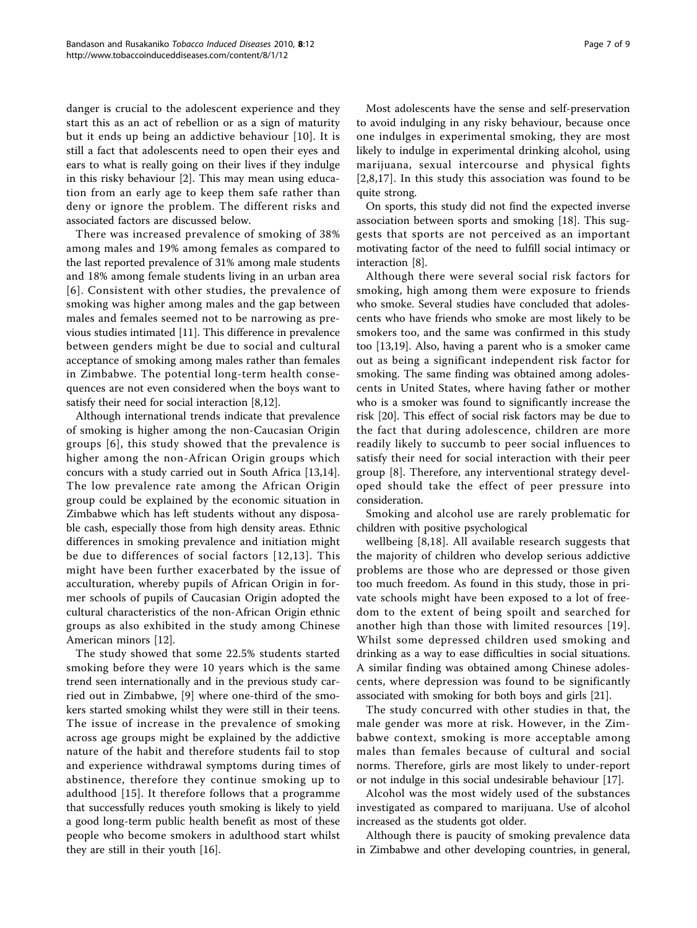danger is crucial to the adolescent experience and they start this as an act of rebellion or as a sign of maturity but it ends up being an addictive behaviour [[10](#page-8-0)]. It is still a fact that adolescents need to open their eyes and ears to what is really going on their lives if they indulge in this risky behaviour [\[2](#page-7-0)]. This may mean using education from an early age to keep them safe rather than deny or ignore the problem. The different risks and associated factors are discussed below.

There was increased prevalence of smoking of 38% among males and 19% among females as compared to the last reported prevalence of 31% among male students and 18% among female students living in an urban area [[6\]](#page-7-0). Consistent with other studies, the prevalence of smoking was higher among males and the gap between males and females seemed not to be narrowing as previous studies intimated [[11\]](#page-8-0). This difference in prevalence between genders might be due to social and cultural acceptance of smoking among males rather than females in Zimbabwe. The potential long-term health consequences are not even considered when the boys want to satisfy their need for social interaction [[8,](#page-7-0)[12](#page-8-0)].

Although international trends indicate that prevalence of smoking is higher among the non-Caucasian Origin groups [[6](#page-7-0)], this study showed that the prevalence is higher among the non-African Origin groups which concurs with a study carried out in South Africa [[13,14](#page-8-0)]. The low prevalence rate among the African Origin group could be explained by the economic situation in Zimbabwe which has left students without any disposable cash, especially those from high density areas. Ethnic differences in smoking prevalence and initiation might be due to differences of social factors [[12,13](#page-8-0)]. This might have been further exacerbated by the issue of acculturation, whereby pupils of African Origin in former schools of pupils of Caucasian Origin adopted the cultural characteristics of the non-African Origin ethnic groups as also exhibited in the study among Chinese American minors [[12](#page-8-0)].

The study showed that some 22.5% students started smoking before they were 10 years which is the same trend seen internationally and in the previous study carried out in Zimbabwe, [[9](#page-7-0)] where one-third of the smokers started smoking whilst they were still in their teens. The issue of increase in the prevalence of smoking across age groups might be explained by the addictive nature of the habit and therefore students fail to stop and experience withdrawal symptoms during times of abstinence, therefore they continue smoking up to adulthood [[15](#page-8-0)]. It therefore follows that a programme that successfully reduces youth smoking is likely to yield a good long-term public health benefit as most of these people who become smokers in adulthood start whilst they are still in their youth [[16](#page-8-0)].

Most adolescents have the sense and self-preservation to avoid indulging in any risky behaviour, because once one indulges in experimental smoking, they are most likely to indulge in experimental drinking alcohol, using marijuana, sexual intercourse and physical fights [[2,8,](#page-7-0)[17](#page-8-0)]. In this study this association was found to be quite strong.

On sports, this study did not find the expected inverse association between sports and smoking [\[18](#page-8-0)]. This suggests that sports are not perceived as an important motivating factor of the need to fulfill social intimacy or interaction [\[8](#page-7-0)].

Although there were several social risk factors for smoking, high among them were exposure to friends who smoke. Several studies have concluded that adolescents who have friends who smoke are most likely to be smokers too, and the same was confirmed in this study too [[13](#page-8-0),[19](#page-8-0)]. Also, having a parent who is a smoker came out as being a significant independent risk factor for smoking. The same finding was obtained among adolescents in United States, where having father or mother who is a smoker was found to significantly increase the risk [\[20](#page-8-0)]. This effect of social risk factors may be due to the fact that during adolescence, children are more readily likely to succumb to peer social influences to satisfy their need for social interaction with their peer group [[8](#page-7-0)]. Therefore, any interventional strategy developed should take the effect of peer pressure into consideration.

Smoking and alcohol use are rarely problematic for children with positive psychological

wellbeing [[8](#page-7-0),[18\]](#page-8-0). All available research suggests that the majority of children who develop serious addictive problems are those who are depressed or those given too much freedom. As found in this study, those in private schools might have been exposed to a lot of freedom to the extent of being spoilt and searched for another high than those with limited resources [\[19\]](#page-8-0). Whilst some depressed children used smoking and drinking as a way to ease difficulties in social situations. A similar finding was obtained among Chinese adolescents, where depression was found to be significantly associated with smoking for both boys and girls [[21\]](#page-8-0).

The study concurred with other studies in that, the male gender was more at risk. However, in the Zimbabwe context, smoking is more acceptable among males than females because of cultural and social norms. Therefore, girls are most likely to under-report or not indulge in this social undesirable behaviour [\[17](#page-8-0)].

Alcohol was the most widely used of the substances investigated as compared to marijuana. Use of alcohol increased as the students got older.

Although there is paucity of smoking prevalence data in Zimbabwe and other developing countries, in general,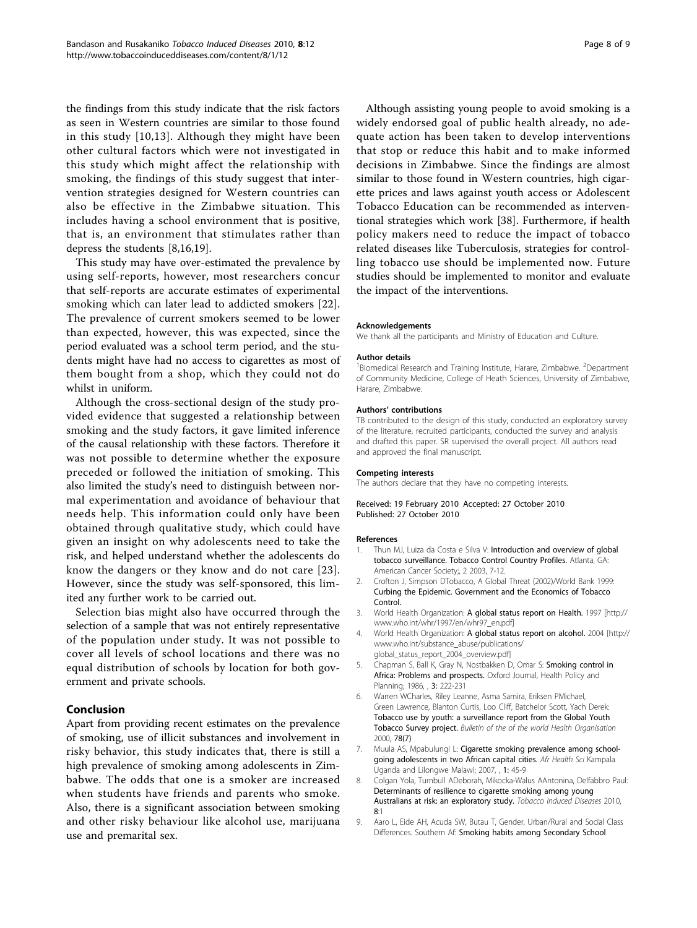<span id="page-7-0"></span>the findings from this study indicate that the risk factors as seen in Western countries are similar to those found in this study [[10](#page-8-0),[13](#page-8-0)]. Although they might have been other cultural factors which were not investigated in this study which might affect the relationship with smoking, the findings of this study suggest that intervention strategies designed for Western countries can also be effective in the Zimbabwe situation. This includes having a school environment that is positive, that is, an environment that stimulates rather than depress the students [8,[16,19](#page-8-0)].

This study may have over-estimated the prevalence by using self-reports, however, most researchers concur that self-reports are accurate estimates of experimental smoking which can later lead to addicted smokers [\[22](#page-8-0)]. The prevalence of current smokers seemed to be lower than expected, however, this was expected, since the period evaluated was a school term period, and the students might have had no access to cigarettes as most of them bought from a shop, which they could not do whilst in uniform.

Although the cross-sectional design of the study provided evidence that suggested a relationship between smoking and the study factors, it gave limited inference of the causal relationship with these factors. Therefore it was not possible to determine whether the exposure preceded or followed the initiation of smoking. This also limited the study's need to distinguish between normal experimentation and avoidance of behaviour that needs help. This information could only have been obtained through qualitative study, which could have given an insight on why adolescents need to take the risk, and helped understand whether the adolescents do know the dangers or they know and do not care [[23\]](#page-8-0). However, since the study was self-sponsored, this limited any further work to be carried out.

Selection bias might also have occurred through the selection of a sample that was not entirely representative of the population under study. It was not possible to cover all levels of school locations and there was no equal distribution of schools by location for both government and private schools.

## Conclusion

Apart from providing recent estimates on the prevalence of smoking, use of illicit substances and involvement in risky behavior, this study indicates that, there is still a high prevalence of smoking among adolescents in Zimbabwe. The odds that one is a smoker are increased when students have friends and parents who smoke. Also, there is a significant association between smoking and other risky behaviour like alcohol use, marijuana use and premarital sex.

Although assisting young people to avoid smoking is a widely endorsed goal of public health already, no adequate action has been taken to develop interventions that stop or reduce this habit and to make informed decisions in Zimbabwe. Since the findings are almost similar to those found in Western countries, high cigarette prices and laws against youth access or Adolescent Tobacco Education can be recommended as interventional strategies which work [38]. Furthermore, if health policy makers need to reduce the impact of tobacco related diseases like Tuberculosis, strategies for controlling tobacco use should be implemented now. Future studies should be implemented to monitor and evaluate the impact of the interventions.

#### Acknowledgements

We thank all the participants and Ministry of Education and Culture.

#### Author details

<sup>1</sup>Biomedical Research and Training Institute, Harare, Zimbabwe. <sup>2</sup>Department of Community Medicine, College of Heath Sciences, University of Zimbabwe, Harare, Zimbabwe.

#### Authors' contributions

TB contributed to the design of this study, conducted an exploratory survey of the literature, recruited participants, conducted the survey and analysis and drafted this paper. SR supervised the overall project. All authors read and approved the final manuscript.

#### Competing interests

The authors declare that they have no competing interests.

### Received: 19 February 2010 Accepted: 27 October 2010 Published: 27 October 2010

#### References

- 1. Thun MJ, Luiza da Costa e Silva V: Introduction and overview of global tobacco surveillance. Tobacco Control Country Profiles. Atlanta, GA: American Cancer Society;, 2 2003, 7-12.
- 2. Crofton J, Simpson DTobacco, A Global Threat (2002)/World Bank 1999: Curbing the Epidemic. Government and the Economics of Tobacco Control.
- 3. World Health Organization: A global status report on Health. 1997 [\[http://](http://www.who.int/whr/1997/en/whr97_en.pdf) [www.who.int/whr/1997/en/whr97\\_en.pdf\]](http://www.who.int/whr/1997/en/whr97_en.pdf)
- 4. World Health Organization: A global status report on alcohol. 2004 [\[http://](http://www.who.int/substance_abuse/publications/global_status_report_2004_overview.pdf) [www.who.int/substance\\_abuse/publications/](http://www.who.int/substance_abuse/publications/global_status_report_2004_overview.pdf) [global\\_status\\_report\\_2004\\_overview.pdf\]](http://www.who.int/substance_abuse/publications/global_status_report_2004_overview.pdf)
- 5. Chapman S, Ball K, Gray N, Nostbakken D, Omar S: Smoking control in Africa: Problems and prospects. Oxford Journal, Health Policy and Planning; 1986, , 3: 222-231
- 6. Warren WCharles, Riley Leanne, Asma Samira, Eriksen PMichael, Green Lawrence, Blanton Curtis, Loo Cliff, Batchelor Scott, Yach Derek: Tobacco use by youth: a surveillance report from the Global Youth Tobacco Survey project. Bulletin of the of the world Health Organisation 2000, 78(7)
- 7. Muula AS, Mpabulungi L: [Cigarette smoking prevalence among school](http://www.ncbi.nlm.nih.gov/pubmed/17604526?dopt=Abstract)[going adolescents in two African capital cities.](http://www.ncbi.nlm.nih.gov/pubmed/17604526?dopt=Abstract) Afr Health Sci Kampala Uganda and Lilongwe Malawi; 2007, , 1: 45-9
- 8. Colgan Yola, Turnbull ADeborah, Mikocka-Walus AAntonina, Delfabbro Paul: [Determinants of resilience to cigarette smoking among young](http://www.ncbi.nlm.nih.gov/pubmed/20148103?dopt=Abstract) [Australians at risk: an exploratory study.](http://www.ncbi.nlm.nih.gov/pubmed/20148103?dopt=Abstract) Tobacco Induced Diseases 2010, 8:1
- 9. Aaro L, Eide AH, Acuda SW, Butau T, Gender, Urban/Rural and Social Class Differences. Southern Af: Smoking habits among Secondary School